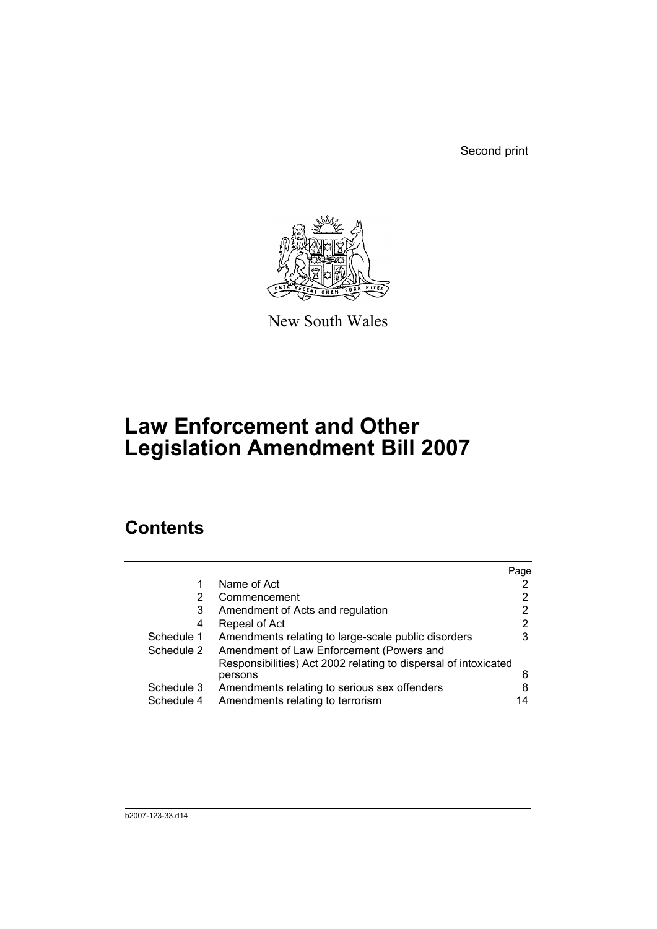Second print



New South Wales

# **Law Enforcement and Other Legislation Amendment Bill 2007**

## **Contents**

|            |                                                                 | Page |
|------------|-----------------------------------------------------------------|------|
| 1          | Name of Act                                                     |      |
| 2          | Commencement                                                    | 2    |
| 3          | Amendment of Acts and regulation                                | 2    |
| 4          | Repeal of Act                                                   | 2    |
| Schedule 1 | Amendments relating to large-scale public disorders             | 3    |
| Schedule 2 | Amendment of Law Enforcement (Powers and                        |      |
|            | Responsibilities) Act 2002 relating to dispersal of intoxicated |      |
|            | persons                                                         | 6    |
| Schedule 3 | Amendments relating to serious sex offenders                    | 8    |
| Schedule 4 | Amendments relating to terrorism                                | 14   |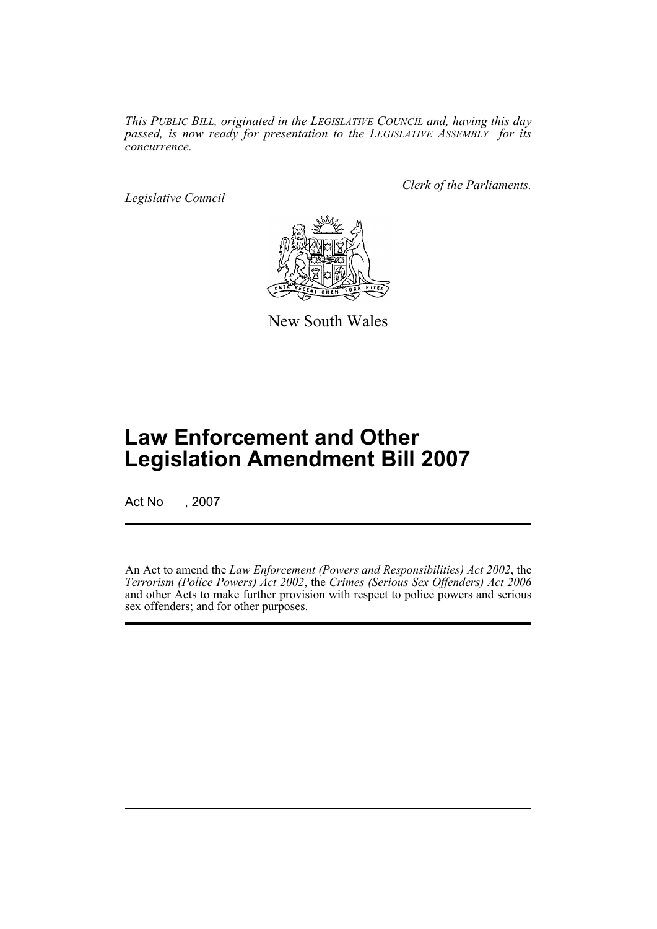*This PUBLIC BILL, originated in the LEGISLATIVE COUNCIL and, having this day passed, is now ready for presentation to the LEGISLATIVE ASSEMBLY for its concurrence.*

*Legislative Council*

*Clerk of the Parliaments.*



New South Wales

## **Law Enforcement and Other Legislation Amendment Bill 2007**

Act No , 2007

An Act to amend the *Law Enforcement (Powers and Responsibilities) Act 2002*, the *Terrorism (Police Powers) Act 2002*, the *Crimes (Serious Sex Offenders) Act 2006* and other Acts to make further provision with respect to police powers and serious sex offenders; and for other purposes.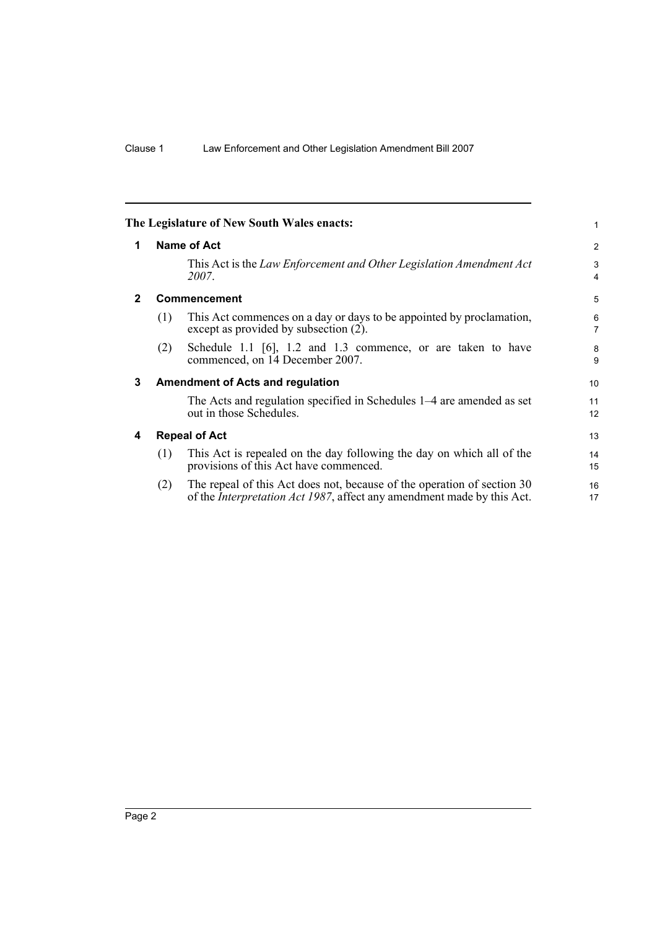<span id="page-3-3"></span><span id="page-3-2"></span><span id="page-3-1"></span><span id="page-3-0"></span>

| 1                   |
|---------------------|
| 2                   |
| 3<br>4              |
| 5                   |
| 6<br>$\overline{7}$ |
| 8<br>9              |
| 10                  |
| 11<br>12            |
| 13                  |
| 14<br>15            |
| 16<br>17            |
|                     |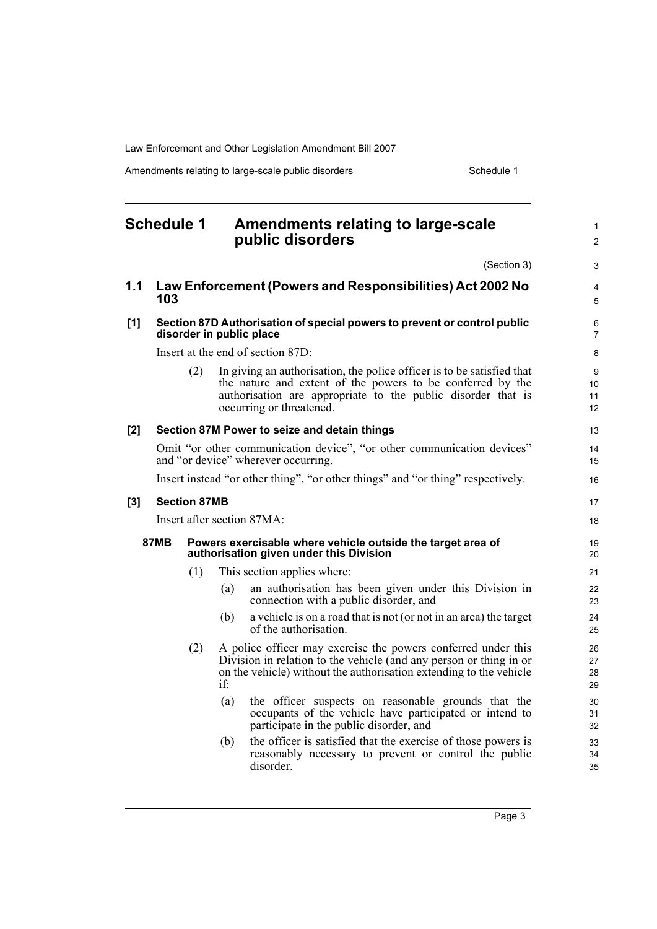Amendments relating to large-scale public disorders **Schedule 1** Schedule 1

<span id="page-4-0"></span>

|     | <b>Schedule 1</b> |                     | Amendments relating to large-scale<br>public disorders                                                                                                                                                                           | 1<br>$\overline{2}$  |
|-----|-------------------|---------------------|----------------------------------------------------------------------------------------------------------------------------------------------------------------------------------------------------------------------------------|----------------------|
|     |                   |                     |                                                                                                                                                                                                                                  | (Section 3)<br>3     |
| 1.1 | 103               |                     | Law Enforcement (Powers and Responsibilities) Act 2002 No                                                                                                                                                                        | 4<br>5               |
| [1] |                   |                     | Section 87D Authorisation of special powers to prevent or control public<br>disorder in public place                                                                                                                             | 6<br>$\overline{7}$  |
|     |                   |                     | Insert at the end of section 87D:                                                                                                                                                                                                | 8                    |
|     |                   | (2)                 | In giving an authorisation, the police officer is to be satisfied that<br>the nature and extent of the powers to be conferred by the<br>authorisation are appropriate to the public disorder that is<br>occurring or threatened. | 9<br>10<br>11<br>12  |
| [2] |                   |                     | Section 87M Power to seize and detain things                                                                                                                                                                                     | 13                   |
|     |                   |                     | Omit "or other communication device", "or other communication devices"<br>and "or device" wherever occurring.                                                                                                                    | 14<br>15             |
|     |                   |                     | Insert instead "or other thing", "or other things" and "or thing" respectively.                                                                                                                                                  | 16                   |
| [3] |                   | <b>Section 87MB</b> |                                                                                                                                                                                                                                  | 17                   |
|     |                   |                     | Insert after section 87MA:                                                                                                                                                                                                       | 18                   |
|     | 87MB              |                     | Powers exercisable where vehicle outside the target area of<br>authorisation given under this Division                                                                                                                           | 19<br>20             |
|     |                   | (1)                 | This section applies where:                                                                                                                                                                                                      | 21                   |
|     |                   |                     | an authorisation has been given under this Division in<br>(a)<br>connection with a public disorder, and                                                                                                                          | 22<br>23             |
|     |                   |                     | a vehicle is on a road that is not (or not in an area) the target<br>(b)<br>of the authorisation.                                                                                                                                | 24<br>25             |
|     |                   | (2)                 | A police officer may exercise the powers conferred under this<br>Division in relation to the vehicle (and any person or thing in or<br>on the vehicle) without the authorisation extending to the vehicle<br>if                  | 26<br>27<br>28<br>29 |
|     |                   |                     | (a)<br>the officer suspects on reasonable grounds that the<br>occupants of the vehicle have participated or intend to<br>participate in the public disorder, and                                                                 | 30<br>31<br>32       |
|     |                   |                     | the officer is satisfied that the exercise of those powers is<br>(b)<br>reasonably necessary to prevent or control the public<br>disorder.                                                                                       | 33<br>34<br>35       |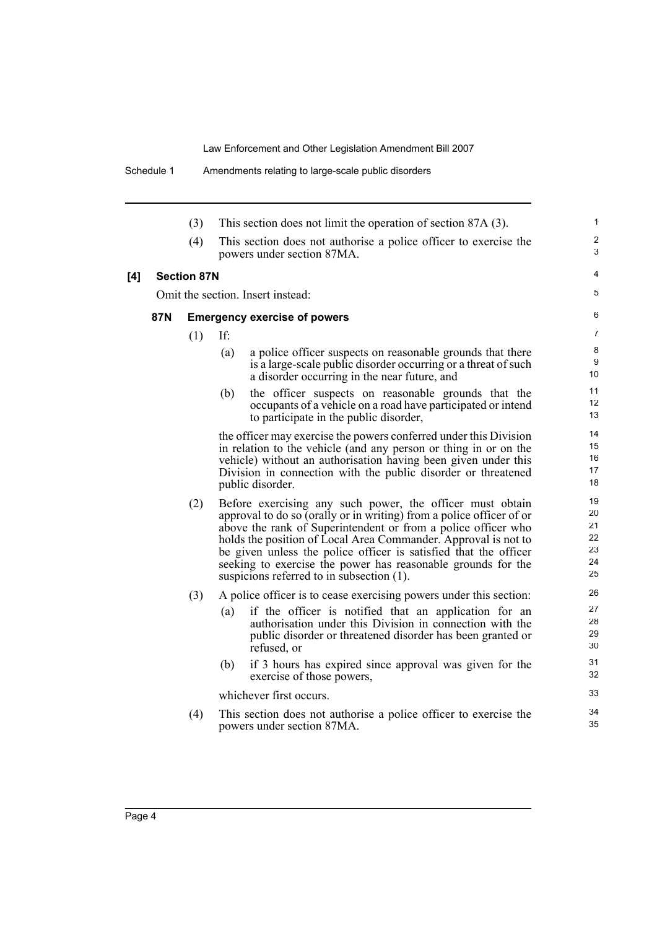|     |            | (3)                | This section does not limit the operation of section 87A (3).                                                                                                                                                                                                                                                                                                                                                                                         |
|-----|------------|--------------------|-------------------------------------------------------------------------------------------------------------------------------------------------------------------------------------------------------------------------------------------------------------------------------------------------------------------------------------------------------------------------------------------------------------------------------------------------------|
|     |            | (4)                | This section does not authorise a police officer to exercise the<br>powers under section 87MA.                                                                                                                                                                                                                                                                                                                                                        |
| [4] |            | <b>Section 87N</b> |                                                                                                                                                                                                                                                                                                                                                                                                                                                       |
|     |            |                    | Omit the section. Insert instead:                                                                                                                                                                                                                                                                                                                                                                                                                     |
|     | <b>87N</b> |                    | <b>Emergency exercise of powers</b>                                                                                                                                                                                                                                                                                                                                                                                                                   |
|     |            | (1)                | If:                                                                                                                                                                                                                                                                                                                                                                                                                                                   |
|     |            |                    | (a)<br>a police officer suspects on reasonable grounds that there<br>is a large-scale public disorder occurring or a threat of such<br>a disorder occurring in the near future, and                                                                                                                                                                                                                                                                   |
|     |            |                    | the officer suspects on reasonable grounds that the<br>(b)<br>occupants of a vehicle on a road have participated or intend<br>to participate in the public disorder,                                                                                                                                                                                                                                                                                  |
|     |            |                    | the officer may exercise the powers conferred under this Division<br>in relation to the vehicle (and any person or thing in or on the<br>vehicle) without an authorisation having been given under this<br>Division in connection with the public disorder or threatened<br>public disorder.                                                                                                                                                          |
|     |            | (2)                | Before exercising any such power, the officer must obtain<br>approval to do so (orally or in writing) from a police officer of or<br>above the rank of Superintendent or from a police officer who<br>holds the position of Local Area Commander. Approval is not to<br>be given unless the police officer is satisfied that the officer<br>seeking to exercise the power has reasonable grounds for the<br>suspicions referred to in subsection (1). |
|     |            | (3)                | A police officer is to cease exercising powers under this section:<br>if the officer is notified that an application for an<br>(a)<br>authorisation under this Division in connection with the<br>public disorder or threatened disorder has been granted or<br>refused, or                                                                                                                                                                           |
|     |            |                    | (b)<br>if 3 hours has expired since approval was given for the<br>exercise of those powers,                                                                                                                                                                                                                                                                                                                                                           |
|     |            |                    | whichever first occurs.                                                                                                                                                                                                                                                                                                                                                                                                                               |
|     |            | (4)                | This section does not authorise a police officer to exercise the<br>powers under section 87MA.                                                                                                                                                                                                                                                                                                                                                        |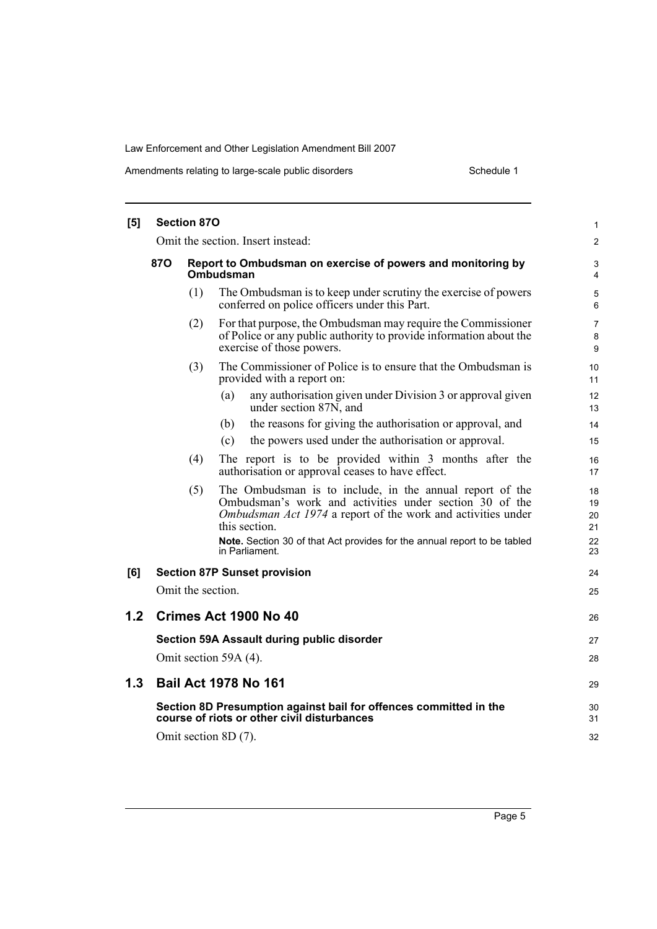| [5] |                                   | <b>Section 870</b> |                                                                                                                                                                                                                                                                                                           | 1                                |  |
|-----|-----------------------------------|--------------------|-----------------------------------------------------------------------------------------------------------------------------------------------------------------------------------------------------------------------------------------------------------------------------------------------------------|----------------------------------|--|
|     | Omit the section. Insert instead: |                    |                                                                                                                                                                                                                                                                                                           |                                  |  |
|     | <b>870</b>                        |                    | Report to Ombudsman on exercise of powers and monitoring by<br>Ombudsman                                                                                                                                                                                                                                  | 3<br>4                           |  |
|     |                                   | (1)                | The Ombudsman is to keep under scrutiny the exercise of powers<br>conferred on police officers under this Part.                                                                                                                                                                                           | 5<br>6                           |  |
|     |                                   | (2)                | For that purpose, the Ombudsman may require the Commissioner<br>of Police or any public authority to provide information about the<br>exercise of those powers.                                                                                                                                           | 7<br>8<br>9                      |  |
|     |                                   | (3)                | The Commissioner of Police is to ensure that the Ombudsman is<br>provided with a report on:                                                                                                                                                                                                               | 10<br>11                         |  |
|     |                                   |                    | (a)<br>any authorisation given under Division 3 or approval given<br>under section 87N, and                                                                                                                                                                                                               | 12<br>13                         |  |
|     |                                   |                    | the reasons for giving the authorisation or approval, and<br>(b)                                                                                                                                                                                                                                          | 14                               |  |
|     |                                   |                    | the powers used under the authorisation or approval.<br>(c)                                                                                                                                                                                                                                               | 15                               |  |
|     |                                   | (4)                | The report is to be provided within 3 months after the<br>authorisation or approval ceases to have effect.                                                                                                                                                                                                | 16<br>17                         |  |
|     |                                   | (5)                | The Ombudsman is to include, in the annual report of the<br>Ombudsman's work and activities under section 30 of the<br>Ombudsman Act 1974 a report of the work and activities under<br>this section.<br><b>Note.</b> Section 30 of that Act provides for the annual report to be tabled<br>in Parliament. | 18<br>19<br>20<br>21<br>22<br>23 |  |
| [6] |                                   |                    | <b>Section 87P Sunset provision</b>                                                                                                                                                                                                                                                                       | 24                               |  |
|     |                                   | Omit the section.  |                                                                                                                                                                                                                                                                                                           | 25                               |  |
| 1.2 |                                   |                    | Crimes Act 1900 No 40                                                                                                                                                                                                                                                                                     | 26                               |  |
|     |                                   |                    | Section 59A Assault during public disorder                                                                                                                                                                                                                                                                | 27                               |  |
|     |                                   |                    | Omit section 59A (4).                                                                                                                                                                                                                                                                                     | 28                               |  |
| 1.3 |                                   |                    | <b>Bail Act 1978 No 161</b>                                                                                                                                                                                                                                                                               | 29                               |  |
|     |                                   |                    | Section 8D Presumption against bail for offences committed in the<br>course of riots or other civil disturbances                                                                                                                                                                                          | 30<br>31                         |  |
|     |                                   |                    | Omit section 8D (7).                                                                                                                                                                                                                                                                                      | 32                               |  |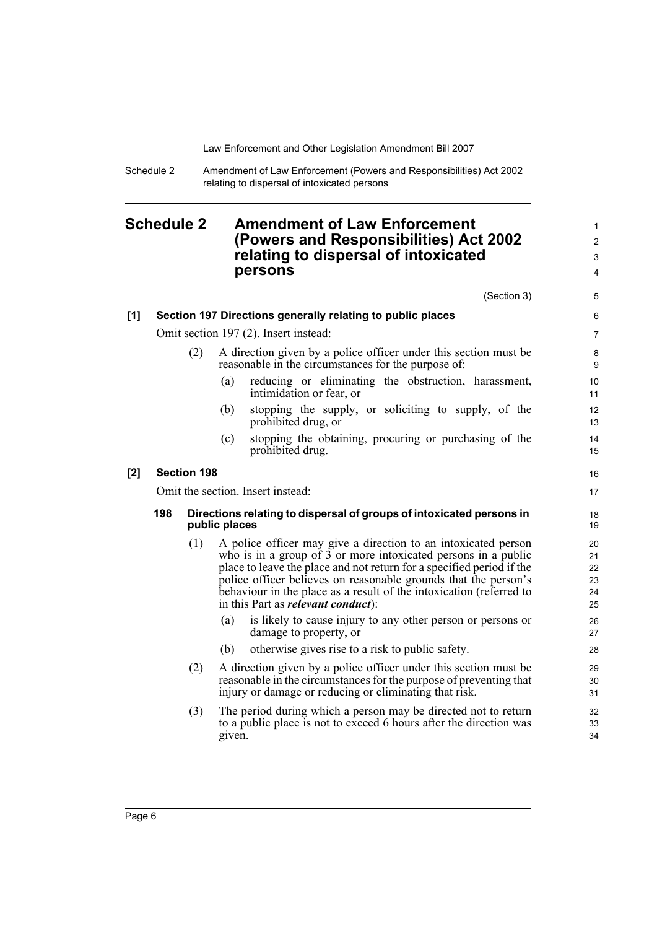Schedule 2 Amendment of Law Enforcement (Powers and Responsibilities) Act 2002 relating to dispersal of intoxicated persons

### <span id="page-7-0"></span>**Schedule 2 Amendment of Law Enforcement (Powers and Responsibilities) Act 2002 relating to dispersal of intoxicated persons**

|       |                                                            |                    | (Section 3)                                                                                                                                                                                                                                                                                                                                                                                       | 5                                |  |
|-------|------------------------------------------------------------|--------------------|---------------------------------------------------------------------------------------------------------------------------------------------------------------------------------------------------------------------------------------------------------------------------------------------------------------------------------------------------------------------------------------------------|----------------------------------|--|
| [1]   | Section 197 Directions generally relating to public places |                    |                                                                                                                                                                                                                                                                                                                                                                                                   |                                  |  |
|       |                                                            |                    | Omit section 197 (2). Insert instead:                                                                                                                                                                                                                                                                                                                                                             | $\overline{7}$                   |  |
|       |                                                            | (2)                | A direction given by a police officer under this section must be<br>reasonable in the circumstances for the purpose of:                                                                                                                                                                                                                                                                           | 8<br>9                           |  |
|       |                                                            |                    | reducing or eliminating the obstruction, harassment,<br>(a)<br>intimidation or fear, or                                                                                                                                                                                                                                                                                                           | 10<br>11                         |  |
|       |                                                            |                    | stopping the supply, or soliciting to supply, of the<br>(b)<br>prohibited drug, or                                                                                                                                                                                                                                                                                                                | 12<br>13                         |  |
|       |                                                            |                    | stopping the obtaining, procuring or purchasing of the<br>(c)<br>prohibited drug.                                                                                                                                                                                                                                                                                                                 | 14<br>15                         |  |
| $[2]$ |                                                            | <b>Section 198</b> |                                                                                                                                                                                                                                                                                                                                                                                                   | 16                               |  |
|       | Omit the section. Insert instead:                          |                    |                                                                                                                                                                                                                                                                                                                                                                                                   |                                  |  |
|       | 198                                                        |                    | Directions relating to dispersal of groups of intoxicated persons in<br>public places                                                                                                                                                                                                                                                                                                             | 18<br>19                         |  |
|       |                                                            | (1)                | A police officer may give a direction to an intoxicated person<br>who is in a group of 3 or more intoxicated persons in a public<br>place to leave the place and not return for a specified period if the<br>police officer believes on reasonable grounds that the person's<br>behaviour in the place as a result of the intoxication (referred to<br>in this Part as <i>relevant conduct</i> ): | 20<br>21<br>22<br>23<br>24<br>25 |  |
|       |                                                            |                    | (a)<br>is likely to cause injury to any other person or persons or<br>damage to property, or                                                                                                                                                                                                                                                                                                      | 26<br>27                         |  |
|       |                                                            |                    | otherwise gives rise to a risk to public safety.<br>(b)                                                                                                                                                                                                                                                                                                                                           | 28                               |  |
|       |                                                            | (2)                | A direction given by a police officer under this section must be<br>reasonable in the circumstances for the purpose of preventing that<br>injury or damage or reducing or eliminating that risk.                                                                                                                                                                                                  | 29<br>30<br>31                   |  |
|       |                                                            | (3)                | The period during which a person may be directed not to return<br>to a public place is not to exceed 6 hours after the direction was<br>given.                                                                                                                                                                                                                                                    | 32<br>33<br>34                   |  |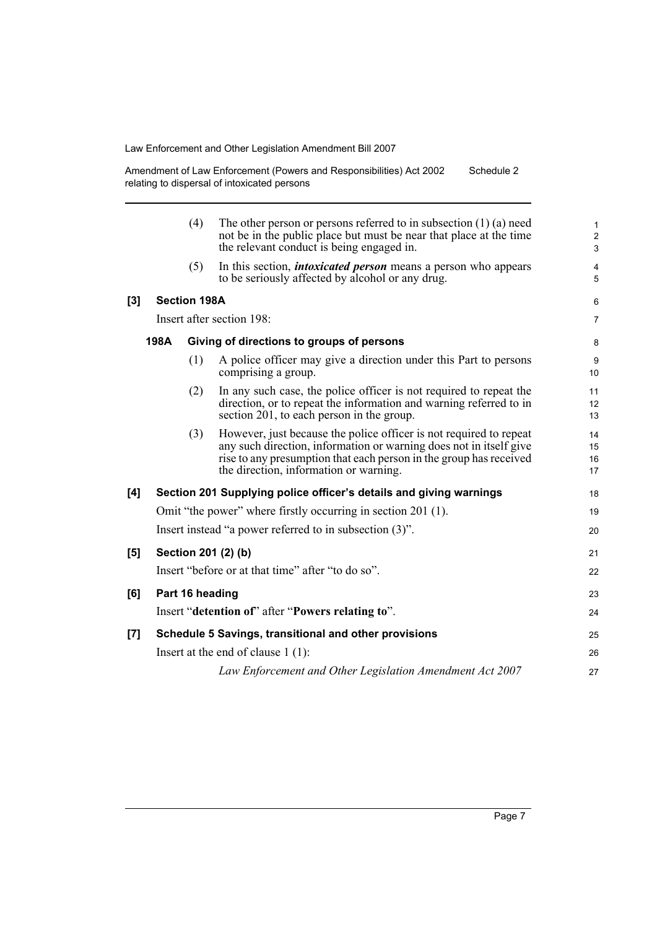Amendment of Law Enforcement (Powers and Responsibilities) Act 2002 relating to dispersal of intoxicated persons Schedule 2

|     |      | (4)                 | The other person or persons referred to in subsection $(1)$ (a) need<br>not be in the public place but must be near that place at the time<br>the relevant conduct is being engaged in.                                                                  | $\mathbf{1}$<br>$\overline{2}$<br>3 |
|-----|------|---------------------|----------------------------------------------------------------------------------------------------------------------------------------------------------------------------------------------------------------------------------------------------------|-------------------------------------|
|     |      | (5)                 | In this section, <i>intoxicated person</i> means a person who appears<br>to be seriously affected by alcohol or any drug.                                                                                                                                | 4<br>5                              |
| [3] |      | <b>Section 198A</b> |                                                                                                                                                                                                                                                          | 6                                   |
|     |      |                     | Insert after section 198:                                                                                                                                                                                                                                | $\overline{7}$                      |
|     | 198A |                     | Giving of directions to groups of persons                                                                                                                                                                                                                | 8                                   |
|     |      | (1)                 | A police officer may give a direction under this Part to persons<br>comprising a group.                                                                                                                                                                  | 9<br>10                             |
|     |      | (2)                 | In any such case, the police officer is not required to repeat the<br>direction, or to repeat the information and warning referred to in<br>section 201, to each person in the group.                                                                    | 11<br>12<br>13                      |
|     |      | (3)                 | However, just because the police officer is not required to repeat<br>any such direction, information or warning does not in itself give<br>rise to any presumption that each person in the group has received<br>the direction, information or warning. | 14<br>15<br>16<br>17                |
| [4] |      |                     | Section 201 Supplying police officer's details and giving warnings                                                                                                                                                                                       | 18                                  |
|     |      |                     | Omit "the power" where firstly occurring in section 201 (1).                                                                                                                                                                                             | 19                                  |
|     |      |                     | Insert instead "a power referred to in subsection (3)".                                                                                                                                                                                                  | 20                                  |
| [5] |      |                     | Section 201 (2) (b)                                                                                                                                                                                                                                      | 21                                  |
|     |      |                     | Insert "before or at that time" after "to do so".                                                                                                                                                                                                        | 22                                  |
| [6] |      | Part 16 heading     |                                                                                                                                                                                                                                                          | 23                                  |
|     |      |                     | Insert "detention of" after "Powers relating to".                                                                                                                                                                                                        | 24                                  |
| [7] |      |                     | Schedule 5 Savings, transitional and other provisions                                                                                                                                                                                                    | 25                                  |
|     |      |                     | Insert at the end of clause $1(1)$ :                                                                                                                                                                                                                     | 26                                  |
|     |      |                     | Law Enforcement and Other Legislation Amendment Act 2007                                                                                                                                                                                                 | 27                                  |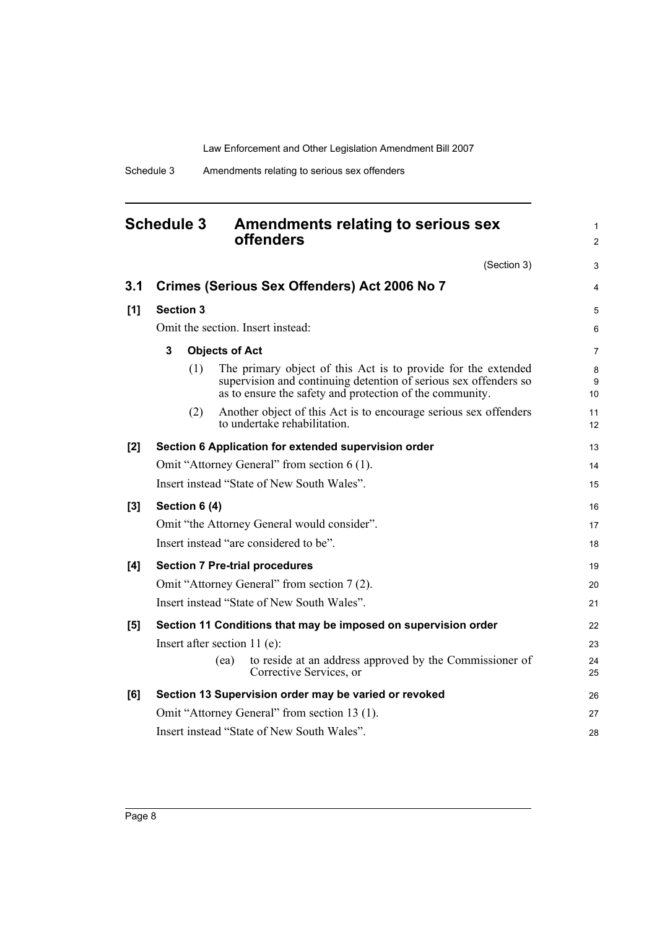<span id="page-9-0"></span>

| <b>Schedule 3</b> | Amendments relating to serious sex |
|-------------------|------------------------------------|
|                   | <b>offenders</b>                   |

(Section 3)

1 2

3

| 3.1   | Crimes (Serious Sex Offenders) Act 2006 No 7                                                                                                                                                         | 4            |  |  |
|-------|------------------------------------------------------------------------------------------------------------------------------------------------------------------------------------------------------|--------------|--|--|
| [1]   | <b>Section 3</b>                                                                                                                                                                                     |              |  |  |
|       | Omit the section. Insert instead:                                                                                                                                                                    | 6            |  |  |
|       | 3<br><b>Objects of Act</b>                                                                                                                                                                           | 7            |  |  |
|       | The primary object of this Act is to provide for the extended<br>(1)<br>supervision and continuing detention of serious sex offenders so<br>as to ensure the safety and protection of the community. | 8<br>9<br>10 |  |  |
|       | Another object of this Act is to encourage serious sex offenders<br>(2)<br>to undertake rehabilitation.                                                                                              | 11<br>12     |  |  |
| $[2]$ | Section 6 Application for extended supervision order                                                                                                                                                 | 13           |  |  |
|       | Omit "Attorney General" from section 6 (1).                                                                                                                                                          | 14           |  |  |
|       | Insert instead "State of New South Wales".                                                                                                                                                           | 15           |  |  |
| [3]   | Section 6 (4)                                                                                                                                                                                        | 16           |  |  |
|       | Omit "the Attorney General would consider".                                                                                                                                                          | 17           |  |  |
|       | Insert instead "are considered to be".                                                                                                                                                               | 18           |  |  |
| [4]   | <b>Section 7 Pre-trial procedures</b>                                                                                                                                                                | 19           |  |  |
|       | Omit "Attorney General" from section 7 (2).                                                                                                                                                          | 20           |  |  |
|       | Insert instead "State of New South Wales".                                                                                                                                                           | 21           |  |  |
| [5]   | Section 11 Conditions that may be imposed on supervision order                                                                                                                                       | 22           |  |  |
|       | Insert after section $11$ (e):                                                                                                                                                                       | 23           |  |  |
|       | to reside at an address approved by the Commissioner of<br>(ea)<br>Corrective Services, or                                                                                                           | 24<br>25     |  |  |
| [6]   | Section 13 Supervision order may be varied or revoked                                                                                                                                                | 26           |  |  |
|       | Omit "Attorney General" from section 13 (1).                                                                                                                                                         | 27           |  |  |
|       | Insert instead "State of New South Wales".                                                                                                                                                           | 28           |  |  |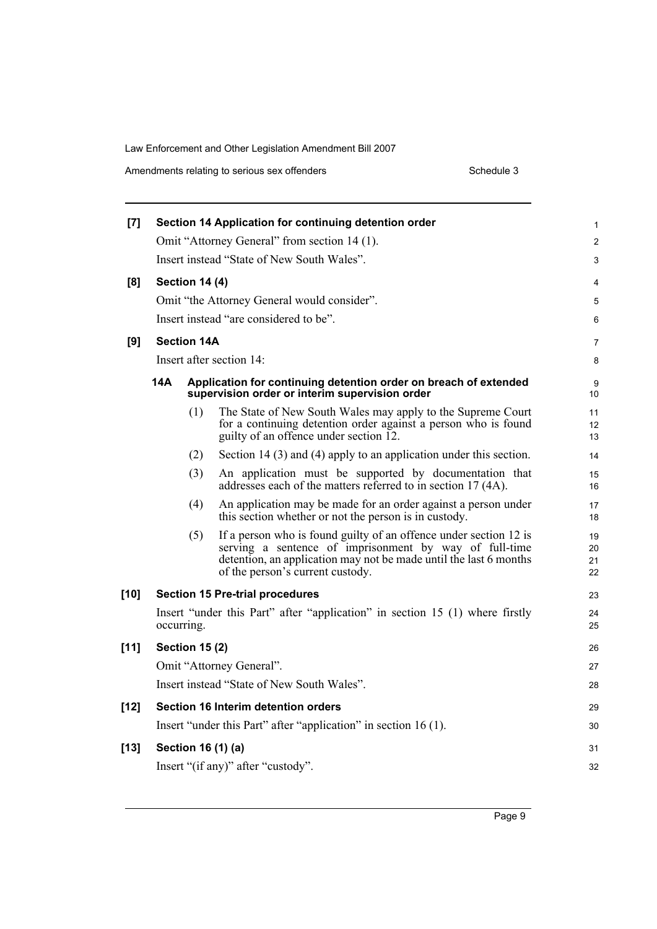Amendments relating to serious sex offenders Schedule 3 Schedule 3

| $[7]$  |                       |     | Section 14 Application for continuing detention order                                                                                                                                                                                | 1                    |  |
|--------|-----------------------|-----|--------------------------------------------------------------------------------------------------------------------------------------------------------------------------------------------------------------------------------------|----------------------|--|
|        |                       |     | Omit "Attorney General" from section 14 (1).                                                                                                                                                                                         | $\overline{2}$       |  |
|        |                       |     | Insert instead "State of New South Wales".                                                                                                                                                                                           | 3                    |  |
| [8]    | <b>Section 14 (4)</b> |     |                                                                                                                                                                                                                                      |                      |  |
|        |                       |     | Omit "the Attorney General would consider".                                                                                                                                                                                          | 5                    |  |
|        |                       |     | Insert instead "are considered to be".                                                                                                                                                                                               | 6                    |  |
| [9]    | <b>Section 14A</b>    |     |                                                                                                                                                                                                                                      | 7                    |  |
|        |                       |     | Insert after section 14:                                                                                                                                                                                                             | 8                    |  |
|        | 14A                   |     | Application for continuing detention order on breach of extended<br>supervision order or interim supervision order                                                                                                                   | 9<br>10              |  |
|        |                       | (1) | The State of New South Wales may apply to the Supreme Court<br>for a continuing detention order against a person who is found<br>guilty of an offence under section 12.                                                              | 11<br>12<br>13       |  |
|        |                       | (2) | Section 14 $(3)$ and $(4)$ apply to an application under this section.                                                                                                                                                               | 14                   |  |
|        |                       | (3) | An application must be supported by documentation that<br>addresses each of the matters referred to in section 17 (4A).                                                                                                              | 15<br>16             |  |
|        |                       | (4) | An application may be made for an order against a person under<br>this section whether or not the person is in custody.                                                                                                              | 17<br>18             |  |
|        |                       | (5) | If a person who is found guilty of an offence under section 12 is<br>serving a sentence of imprisonment by way of full-time<br>detention, an application may not be made until the last 6 months<br>of the person's current custody. | 19<br>20<br>21<br>22 |  |
| [10]   |                       |     | <b>Section 15 Pre-trial procedures</b>                                                                                                                                                                                               | 23                   |  |
|        | occurring.            |     | Insert "under this Part" after "application" in section 15 (1) where firstly                                                                                                                                                         | 24<br>25             |  |
| $[11]$ | <b>Section 15 (2)</b> |     |                                                                                                                                                                                                                                      | 26                   |  |
|        |                       |     | Omit "Attorney General".                                                                                                                                                                                                             | 27                   |  |
|        |                       |     | Insert instead "State of New South Wales".                                                                                                                                                                                           | 28                   |  |
| $[12]$ |                       |     | Section 16 Interim detention orders                                                                                                                                                                                                  | 29                   |  |
|        |                       |     | Insert "under this Part" after "application" in section 16 (1).                                                                                                                                                                      | 30                   |  |
| $[13]$ | Section 16 (1) (a)    |     |                                                                                                                                                                                                                                      | 31                   |  |
|        |                       |     | Insert "(if any)" after "custody".                                                                                                                                                                                                   | 32                   |  |
|        |                       |     |                                                                                                                                                                                                                                      |                      |  |

Page 9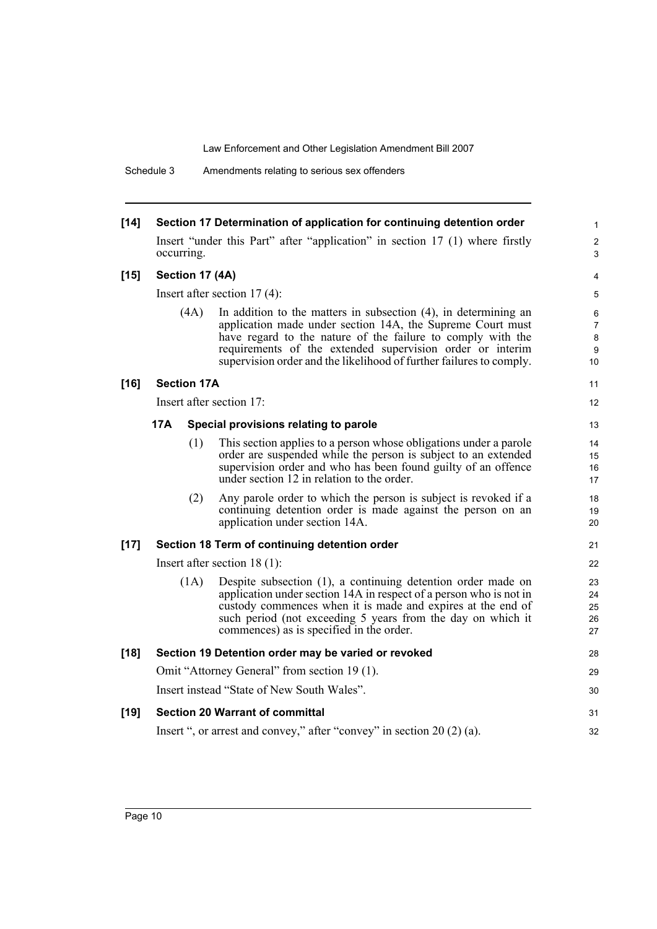Schedule 3 Amendments relating to serious sex offenders

| $[14]$ |                                |                    | Section 17 Determination of application for continuing detention order                                                                                                                                                                                                                                                              | $\mathbf{1}$                                           |
|--------|--------------------------------|--------------------|-------------------------------------------------------------------------------------------------------------------------------------------------------------------------------------------------------------------------------------------------------------------------------------------------------------------------------------|--------------------------------------------------------|
|        |                                | occurring.         | Insert "under this Part" after "application" in section 17 (1) where firstly                                                                                                                                                                                                                                                        | $\overline{c}$<br>3                                    |
| $[15]$ |                                | Section 17 (4A)    |                                                                                                                                                                                                                                                                                                                                     | 4                                                      |
|        | Insert after section $17(4)$ : |                    |                                                                                                                                                                                                                                                                                                                                     |                                                        |
|        |                                | (4A)               | In addition to the matters in subsection $(4)$ , in determining an<br>application made under section 14A, the Supreme Court must<br>have regard to the nature of the failure to comply with the<br>requirements of the extended supervision order or interim<br>supervision order and the likelihood of further failures to comply. | 6<br>$\overline{7}$<br>$\bf 8$<br>9<br>10 <sup>°</sup> |
| $[16]$ |                                | <b>Section 17A</b> |                                                                                                                                                                                                                                                                                                                                     | 11                                                     |
|        |                                |                    | Insert after section 17:                                                                                                                                                                                                                                                                                                            | 12                                                     |
|        | 17A                            |                    | Special provisions relating to parole                                                                                                                                                                                                                                                                                               | 13                                                     |
|        |                                | (1)                | This section applies to a person whose obligations under a parole<br>order are suspended while the person is subject to an extended<br>supervision order and who has been found guilty of an offence<br>under section 12 in relation to the order.                                                                                  | 14<br>15<br>16<br>17                                   |
|        |                                | (2)                | Any parole order to which the person is subject is revoked if a<br>continuing detention order is made against the person on an<br>application under section 14A.                                                                                                                                                                    | 18<br>19<br>20                                         |
| $[17]$ |                                |                    | Section 18 Term of continuing detention order                                                                                                                                                                                                                                                                                       | 21                                                     |
|        |                                |                    | Insert after section $18(1)$ :                                                                                                                                                                                                                                                                                                      | 22                                                     |
|        |                                | (1A)               | Despite subsection (1), a continuing detention order made on<br>application under section 14A in respect of a person who is not in<br>custody commences when it is made and expires at the end of<br>such period (not exceeding 5 years from the day on which it<br>commences) as is specified in the order.                        | 23<br>24<br>25<br>26<br>27                             |
| $[18]$ |                                |                    | Section 19 Detention order may be varied or revoked                                                                                                                                                                                                                                                                                 | 28                                                     |
|        |                                |                    | Omit "Attorney General" from section 19 (1).                                                                                                                                                                                                                                                                                        | 29                                                     |
|        |                                |                    | Insert instead "State of New South Wales".                                                                                                                                                                                                                                                                                          | 30                                                     |
| $[19]$ |                                |                    | <b>Section 20 Warrant of committal</b>                                                                                                                                                                                                                                                                                              | 31                                                     |
|        |                                |                    | Insert ", or arrest and convey," after "convey" in section $20(2)(a)$ .                                                                                                                                                                                                                                                             | 32                                                     |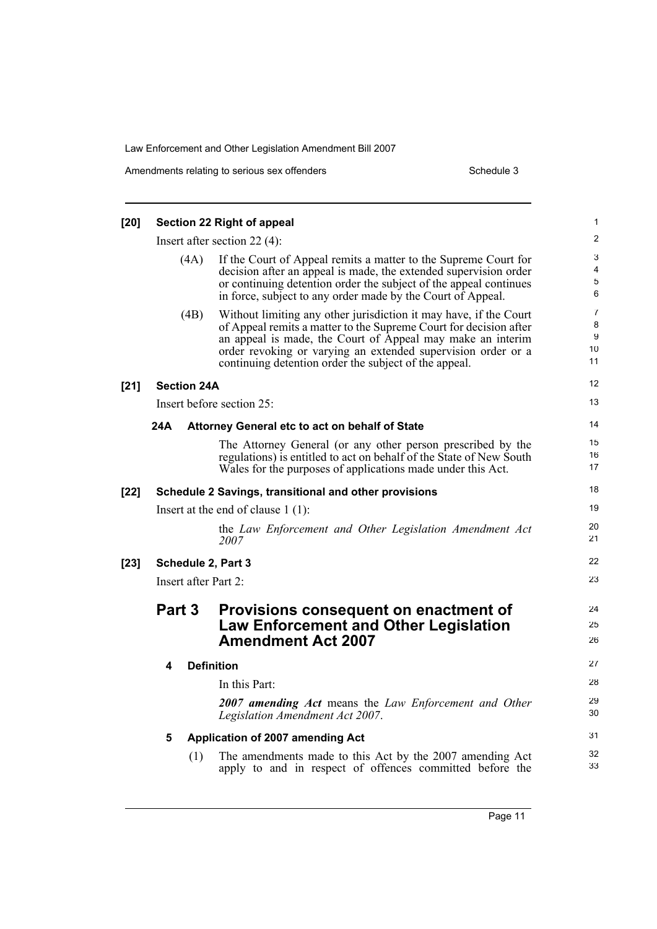| [20]   |                    | <b>Section 22 Right of appeal</b>                                                                                                                                                                                                                                                                                                     | 1                                          |
|--------|--------------------|---------------------------------------------------------------------------------------------------------------------------------------------------------------------------------------------------------------------------------------------------------------------------------------------------------------------------------------|--------------------------------------------|
|        |                    | Insert after section $22(4)$ :                                                                                                                                                                                                                                                                                                        | $\overline{2}$                             |
|        |                    | If the Court of Appeal remits a matter to the Supreme Court for<br>(4A)<br>decision after an appeal is made, the extended supervision order<br>or continuing detention order the subject of the appeal continues<br>in force, subject to any order made by the Court of Appeal.                                                       | 3<br>$\overline{4}$<br>$\overline{5}$<br>6 |
|        |                    | (4B)<br>Without limiting any other jurisdiction it may have, if the Court<br>of Appeal remits a matter to the Supreme Court for decision after<br>an appeal is made, the Court of Appeal may make an interim<br>order revoking or varying an extended supervision order or a<br>continuing detention order the subject of the appeal. | $\overline{7}$<br>8<br>9<br>10<br>11       |
| $[21]$ | <b>Section 24A</b> |                                                                                                                                                                                                                                                                                                                                       | 12                                         |
|        |                    | Insert before section 25:                                                                                                                                                                                                                                                                                                             | 13                                         |
|        | 24A                | Attorney General etc to act on behalf of State                                                                                                                                                                                                                                                                                        | 14                                         |
|        |                    | The Attorney General (or any other person prescribed by the<br>regulations) is entitled to act on behalf of the State of New South<br>Wales for the purposes of applications made under this Act.                                                                                                                                     | 15<br>16<br>17                             |
| $[22]$ |                    | Schedule 2 Savings, transitional and other provisions                                                                                                                                                                                                                                                                                 | 18                                         |
|        |                    | Insert at the end of clause $1(1)$ :                                                                                                                                                                                                                                                                                                  | 19                                         |
|        |                    | the Law Enforcement and Other Legislation Amendment Act<br>2007                                                                                                                                                                                                                                                                       | 20<br>21                                   |
| $[23]$ |                    | Schedule 2, Part 3                                                                                                                                                                                                                                                                                                                    | 22                                         |
|        |                    | Insert after Part 2:                                                                                                                                                                                                                                                                                                                  | 23                                         |
|        | Part 3             | Provisions consequent on enactment of<br><b>Law Enforcement and Other Legislation</b><br><b>Amendment Act 2007</b>                                                                                                                                                                                                                    | 24<br>25<br>26                             |
|        | 4                  | <b>Definition</b>                                                                                                                                                                                                                                                                                                                     | 27                                         |
|        |                    | In this Part:                                                                                                                                                                                                                                                                                                                         | 28                                         |
|        |                    | 2007 amending Act means the Law Enforcement and Other<br>Legislation Amendment Act 2007.                                                                                                                                                                                                                                              | 29<br>30                                   |
|        | 5                  | Application of 2007 amending Act                                                                                                                                                                                                                                                                                                      | 31                                         |
|        |                    | The amendments made to this Act by the 2007 amending Act<br>(1)<br>apply to and in respect of offences committed before the                                                                                                                                                                                                           | 32<br>33                                   |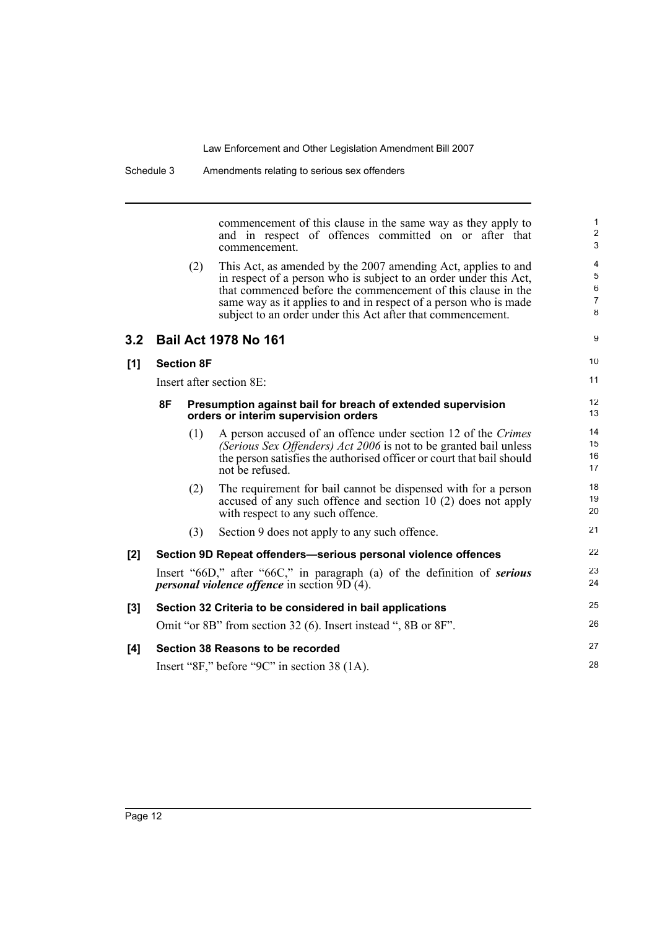commencement of this clause in the same way as they apply to and in respect of offences committed on or after that commencement.

9

10 11

28

| (2) | This Act, as amended by the 2007 amending Act, applies to and     |
|-----|-------------------------------------------------------------------|
|     | in respect of a person who is subject to an order under this Act. |
|     | that commenced before the commencement of this clause in the      |
|     | same way as it applies to and in respect of a person who is made  |
|     | subject to an order under this Act after that commencement.       |

### **3.2 Bail Act 1978 No 161**

#### **[1] Section 8F**

Insert after section 8E:

|     | 8F |     | Presumption against bail for breach of extended supervision<br>orders or interim supervision orders                                                                                                                            | 12<br>13             |
|-----|----|-----|--------------------------------------------------------------------------------------------------------------------------------------------------------------------------------------------------------------------------------|----------------------|
|     |    | (1) | A person accused of an offence under section 12 of the Crimes<br>(Serious Sex Offenders) Act 2006 is not to be granted bail unless<br>the person satisfies the authorised officer or court that bail should<br>not be refused. | 14<br>15<br>16<br>17 |
|     |    | (2) | The requirement for bail cannot be dispensed with for a person<br>accused of any such offence and section 10 (2) does not apply<br>with respect to any such offence.                                                           | 18<br>19<br>20       |
|     |    | (3) | Section 9 does not apply to any such offence.                                                                                                                                                                                  | 21                   |
| [2] |    |     | Section 9D Repeat offenders-serious personal violence offences                                                                                                                                                                 | 22                   |
|     |    |     | Insert "66D," after "66C," in paragraph (a) of the definition of serious<br><i>personal violence offence</i> in section 9D (4).                                                                                                | 23<br>24             |

#### **[3] Section 32 Criteria to be considered in bail applications** Omit "or 8B" from section 32 (6). Insert instead ", 8B or 8F". **[4] Section 38 Reasons to be recorded** 25 26 27

Insert "8F," before "9C" in section 38 (1A).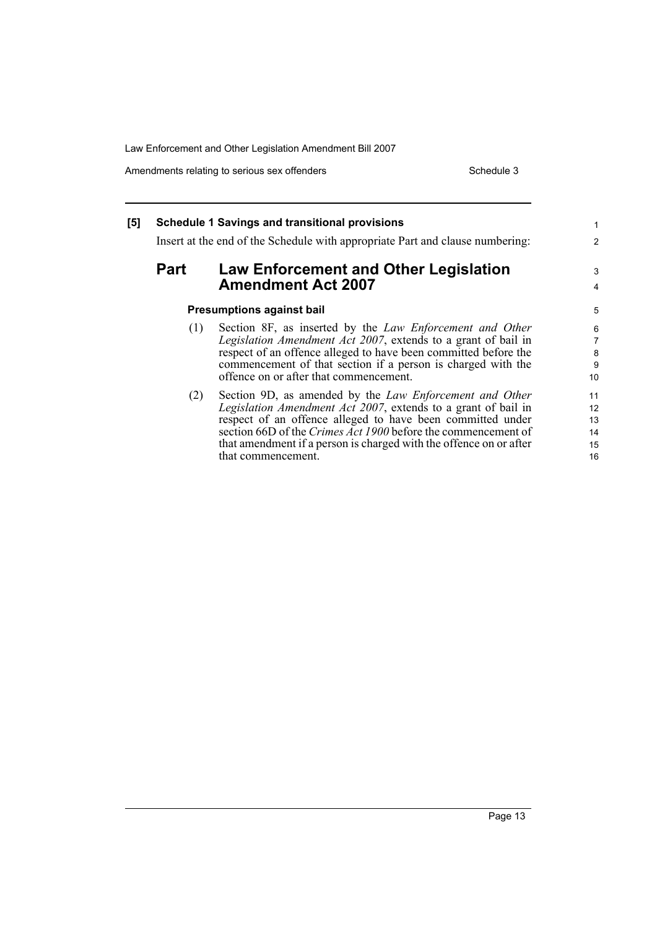that commencement.

Amendments relating to serious sex offenders Schedule 3

16

#### **[5] Schedule 1 Savings and transitional provisions** Insert at the end of the Schedule with appropriate Part and clause numbering: **Part Law Enforcement and Other Legislation Amendment Act 2007 Presumptions against bail** (1) Section 8F, as inserted by the *Law Enforcement and Other Legislation Amendment Act 2007*, extends to a grant of bail in respect of an offence alleged to have been committed before the commencement of that section if a person is charged with the offence on or after that commencement. (2) Section 9D, as amended by the *Law Enforcement and Other Legislation Amendment Act 2007*, extends to a grant of bail in respect of an offence alleged to have been committed under section 66D of the *Crimes Act 1900* before the commencement of that amendment if a person is charged with the offence on or after 1 2 3 4 5 6 7 8 9 10 11 12 13 14 15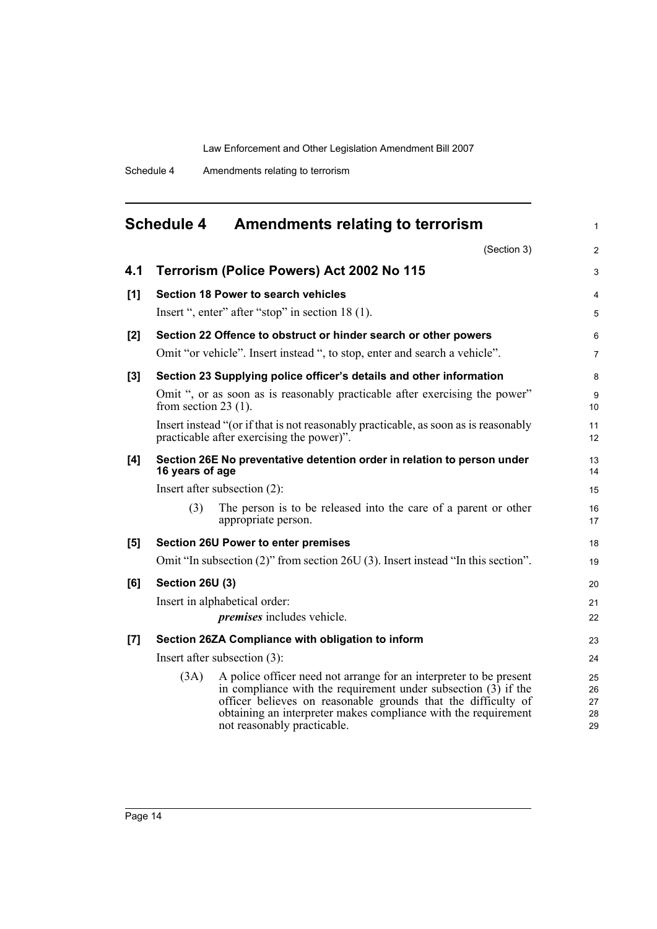<span id="page-15-0"></span>

|     | <b>Schedule 4</b>                                 | <b>Amendments relating to terrorism</b>                                                                                                                                                                                                                                                                  | 1                          |  |  |
|-----|---------------------------------------------------|----------------------------------------------------------------------------------------------------------------------------------------------------------------------------------------------------------------------------------------------------------------------------------------------------------|----------------------------|--|--|
|     |                                                   | (Section 3)                                                                                                                                                                                                                                                                                              | $\overline{c}$             |  |  |
| 4.1 |                                                   | Terrorism (Police Powers) Act 2002 No 115                                                                                                                                                                                                                                                                | 3                          |  |  |
| [1] |                                                   | <b>Section 18 Power to search vehicles</b>                                                                                                                                                                                                                                                               | 4                          |  |  |
|     |                                                   | Insert ", enter" after "stop" in section 18 (1).                                                                                                                                                                                                                                                         | 5                          |  |  |
| [2] |                                                   | Section 22 Offence to obstruct or hinder search or other powers                                                                                                                                                                                                                                          | 6                          |  |  |
|     |                                                   | Omit "or vehicle". Insert instead ", to stop, enter and search a vehicle".                                                                                                                                                                                                                               | 7                          |  |  |
| [3] |                                                   | Section 23 Supplying police officer's details and other information                                                                                                                                                                                                                                      | 8                          |  |  |
|     | from section $23(1)$ .                            | Omit ", or as soon as is reasonably practicable after exercising the power"                                                                                                                                                                                                                              | 9<br>10                    |  |  |
|     |                                                   | Insert instead "(or if that is not reasonably practicable, as soon as is reasonably<br>practicable after exercising the power)".                                                                                                                                                                         | 11<br>12                   |  |  |
| [4] | 16 years of age                                   | Section 26E No preventative detention order in relation to person under                                                                                                                                                                                                                                  | 13<br>14                   |  |  |
|     |                                                   | Insert after subsection $(2)$ :                                                                                                                                                                                                                                                                          | 15                         |  |  |
|     | (3)                                               | The person is to be released into the care of a parent or other<br>appropriate person.                                                                                                                                                                                                                   | 16<br>17                   |  |  |
| [5] |                                                   | <b>Section 26U Power to enter premises</b>                                                                                                                                                                                                                                                               | 18                         |  |  |
|     |                                                   | Omit "In subsection (2)" from section 26U (3). Insert instead "In this section".                                                                                                                                                                                                                         | 19                         |  |  |
| [6] | <b>Section 26U (3)</b>                            |                                                                                                                                                                                                                                                                                                          |                            |  |  |
|     | Insert in alphabetical order:                     |                                                                                                                                                                                                                                                                                                          |                            |  |  |
|     |                                                   | <i>premises</i> includes vehicle.                                                                                                                                                                                                                                                                        | 22                         |  |  |
| [7] | Section 26ZA Compliance with obligation to inform |                                                                                                                                                                                                                                                                                                          |                            |  |  |
|     |                                                   | Insert after subsection $(3)$ :                                                                                                                                                                                                                                                                          | 24                         |  |  |
|     | (3A)                                              | A police officer need not arrange for an interpreter to be present<br>in compliance with the requirement under subsection $(3)$ if the<br>officer believes on reasonable grounds that the difficulty of<br>obtaining an interpreter makes compliance with the requirement<br>not reasonably practicable. | 25<br>26<br>27<br>28<br>29 |  |  |